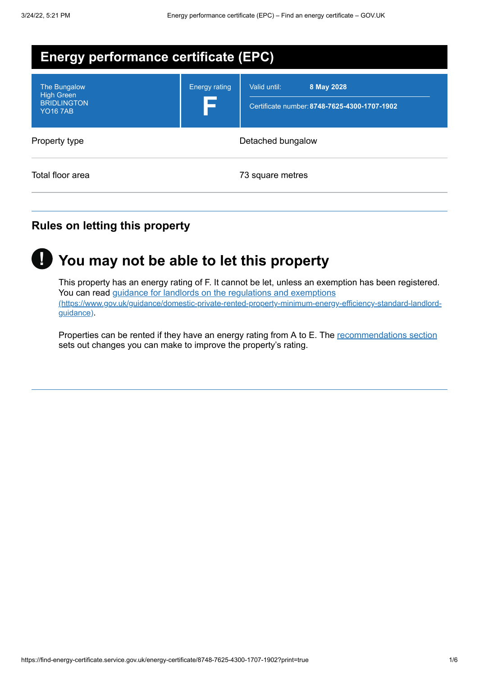| <b>Energy performance certificate (EPC)</b>                                |                             |                                                                            |
|----------------------------------------------------------------------------|-----------------------------|----------------------------------------------------------------------------|
| The Bungalow<br><b>High Green</b><br><b>BRIDLINGTON</b><br><b>YO16 7AB</b> | <b>Energy rating</b><br>I S | Valid until:<br>8 May 2028<br>Certificate number: 8748-7625-4300-1707-1902 |
| Property type                                                              | Detached bungalow           |                                                                            |
| Total floor area                                                           |                             | 73 square metres                                                           |

### **Rules on letting this property**



# **You may not be able to let this property !**

This property has an energy rating of F. It cannot be let, unless an exemption has been registered. You can read guidance for landlords on the regulations and exemptions [\(https://www.gov.uk/guidance/domestic-private-rented-property-minimum-energy-efficiency-standard-landlord](https://www.gov.uk/guidance/domestic-private-rented-property-minimum-energy-efficiency-standard-landlord-guidance)guidance).

Properties can be rented if they have an energy rating from A to E. The [recommendations](#page-3-0) section sets out changes you can make to improve the property's rating.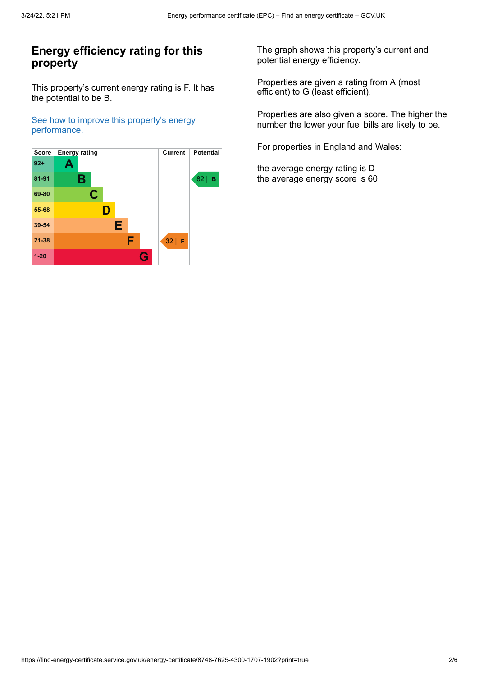### **Energy efficiency rating for this property**

This property's current energy rating is F. It has the potential to be B.

See how to improve this property's energy [performance.](#page-3-0)



The graph shows this property's current and potential energy efficiency.

Properties are given a rating from A (most efficient) to G (least efficient).

Properties are also given a score. The higher the number the lower your fuel bills are likely to be.

For properties in England and Wales:

the average energy rating is D the average energy score is 60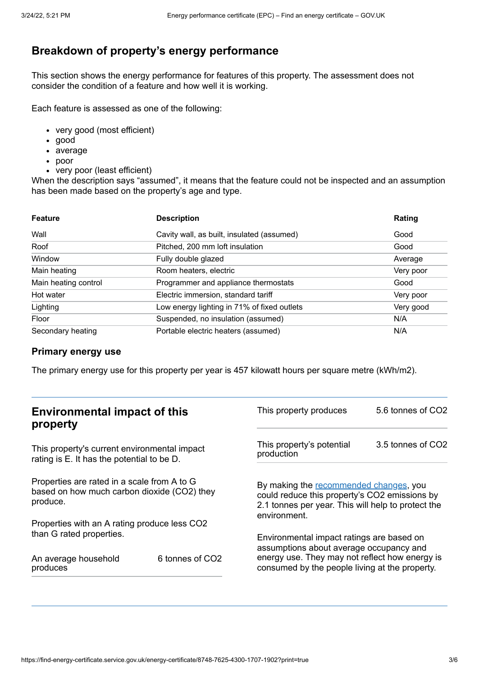### **Breakdown of property's energy performance**

This section shows the energy performance for features of this property. The assessment does not consider the condition of a feature and how well it is working.

Each feature is assessed as one of the following:

- very good (most efficient)
- good
- average
- poor
- very poor (least efficient)

When the description says "assumed", it means that the feature could not be inspected and an assumption has been made based on the property's age and type.

| <b>Feature</b>       | <b>Description</b>                          | Rating    |
|----------------------|---------------------------------------------|-----------|
| Wall                 | Cavity wall, as built, insulated (assumed)  | Good      |
| Roof                 | Pitched, 200 mm loft insulation             | Good      |
| Window               | Fully double glazed                         | Average   |
| Main heating         | Room heaters, electric                      | Very poor |
| Main heating control | Programmer and appliance thermostats        | Good      |
| Hot water            | Electric immersion, standard tariff         | Very poor |
| Lighting             | Low energy lighting in 71% of fixed outlets | Very good |
| Floor                | Suspended, no insulation (assumed)          | N/A       |
| Secondary heating    | Portable electric heaters (assumed)         | N/A       |

#### **Primary energy use**

The primary energy use for this property per year is 457 kilowatt hours per square metre (kWh/m2).

| <b>Environmental impact of this</b><br>property                                                        |                             | This property produces                                                                                                                                        | 5.6 tonnes of CO2 |
|--------------------------------------------------------------------------------------------------------|-----------------------------|---------------------------------------------------------------------------------------------------------------------------------------------------------------|-------------------|
| This property's current environmental impact<br>rating is E. It has the potential to be D.             |                             | This property's potential<br>production                                                                                                                       | 3.5 tonnes of CO2 |
| Properties are rated in a scale from A to G<br>based on how much carbon dioxide (CO2) they<br>produce. |                             | By making the recommended changes, you<br>could reduce this property's CO2 emissions by<br>2.1 tonnes per year. This will help to protect the<br>environment. |                   |
| Properties with an A rating produce less CO2                                                           |                             |                                                                                                                                                               |                   |
| than G rated properties.                                                                               |                             | Environmental impact ratings are based on<br>assumptions about average occupancy and                                                                          |                   |
| An average household<br>produces                                                                       | 6 tonnes of CO <sub>2</sub> | energy use. They may not reflect how energy is<br>consumed by the people living at the property.                                                              |                   |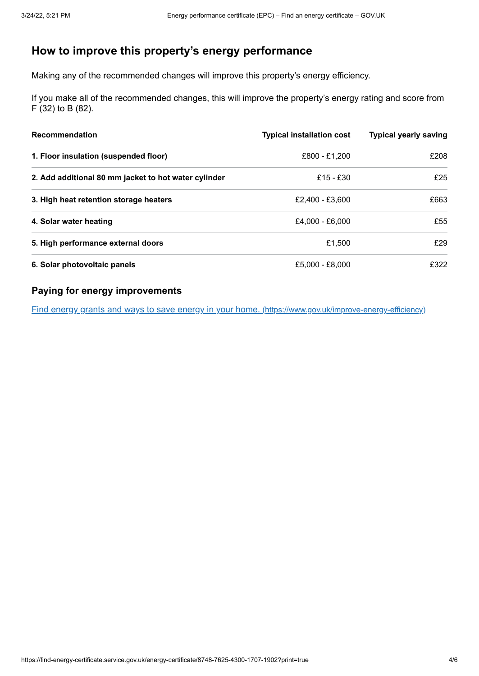## <span id="page-3-0"></span>**How to improve this property's energy performance**

Making any of the recommended changes will improve this property's energy efficiency.

If you make all of the recommended changes, this will improve the property's energy rating and score from F (32) to B (82).

| <b>Recommendation</b>                                | <b>Typical installation cost</b> | <b>Typical yearly saving</b> |
|------------------------------------------------------|----------------------------------|------------------------------|
| 1. Floor insulation (suspended floor)                | £800 - £1.200                    | £208                         |
| 2. Add additional 80 mm jacket to hot water cylinder | £15 - £30                        | £25                          |
| 3. High heat retention storage heaters               | £2.400 - £3.600                  | £663                         |
| 4. Solar water heating                               | £4,000 - £6,000                  | £55                          |
| 5. High performance external doors                   | £1.500                           | f29                          |
| 6. Solar photovoltaic panels                         | £5,000 - £8,000                  | £322                         |

#### **Paying for energy improvements**

Find energy grants and ways to save energy in your home. [\(https://www.gov.uk/improve-energy-efficiency\)](https://www.gov.uk/improve-energy-efficiency)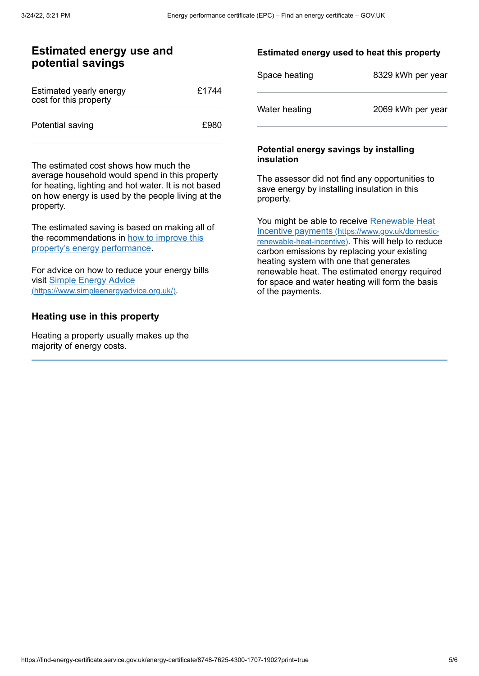#### **Estimated energy use and potential savings**

| Estimated yearly energy<br>cost for this property | £1744 |
|---------------------------------------------------|-------|
| Potential saving                                  | £980  |

The estimated cost shows how much the average household would spend in this property for heating, lighting and hot water. It is not based on how energy is used by the people living at the property.

The estimated saving is based on making all of the [recommendations](#page-3-0) in how to improve this property's energy performance.

For advice on how to reduce your energy bills visit Simple Energy Advice [\(https://www.simpleenergyadvice.org.uk/\)](https://www.simpleenergyadvice.org.uk/).

#### **Heating use in this property**

Heating a property usually makes up the majority of energy costs.

#### **Estimated energy used to heat this property**

| Space heating | 8329 kWh per year |
|---------------|-------------------|
| Water heating | 2069 kWh per year |

#### **Potential energy savings by installing insulation**

The assessor did not find any opportunities to save energy by installing insulation in this property.

You might be able to receive Renewable Heat Incentive payments [\(https://www.gov.uk/domestic](https://www.gov.uk/domestic-renewable-heat-incentive)renewable-heat-incentive). This will help to reduce carbon emissions by replacing your existing heating system with one that generates renewable heat. The estimated energy required for space and water heating will form the basis of the payments.